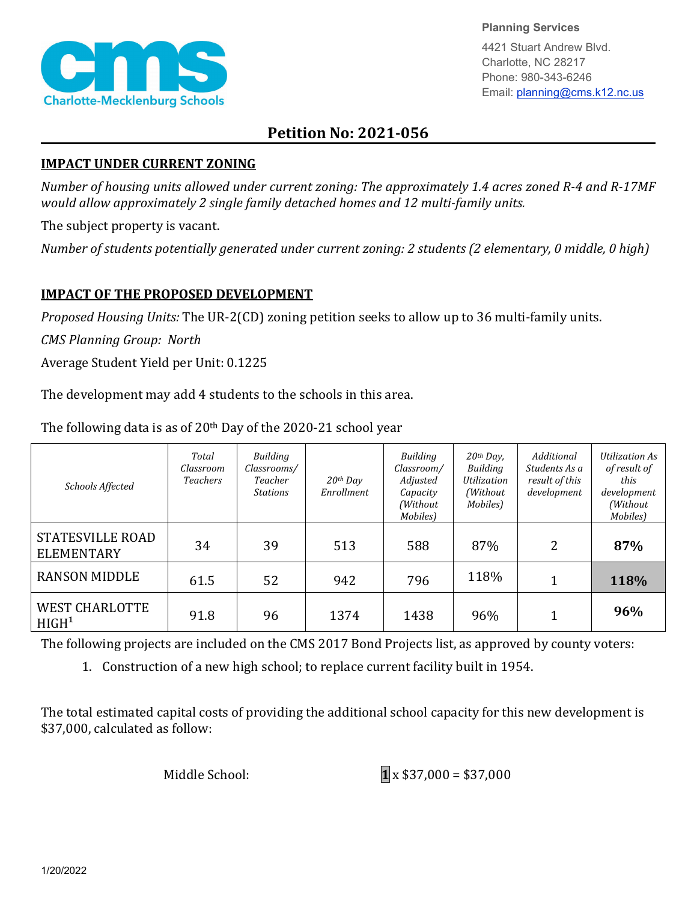

**Planning Services**

4421 Stuart Andrew Blvd. Charlotte, NC 28217 Phone: 980-343-6246 Email: planning@cms.k12.nc.us

## **Petition No: 2021-056**

## **IMPACT UNDER CURRENT ZONING**

*Number of housing units allowed under current zoning: The approximately 1.4 acres zoned R-4 and R-17MF would allow approximately 2 single family detached homes and 12 multi-family units.*

The subject property is vacant.

*Number of students potentially generated under current zoning: 2 students (2 elementary, 0 middle, 0 high)*

## **IMPACT OF THE PROPOSED DEVELOPMENT**

*Proposed Housing Units:* The UR-2(CD) zoning petition seeks to allow up to 36 multi-family units.

*CMS Planning Group: North*

Average Student Yield per Unit: 0.1225

The development may add 4 students to the schools in this area.

| <b>Schools Affected</b>                       | Total<br>Classroom<br><b>Teachers</b> | Building<br>Classrooms/<br>Teacher<br><b>Stations</b> | $20$ <sup>th</sup> Day<br>Enrollment | Building<br>Classroom/<br>Adjusted<br>Capacity<br>(Without)<br>Mobiles) | 20th Day,<br>Building<br>Utilization<br>(Without<br>Mobiles) | Additional<br>Students As a<br>result of this<br>development | <b>Utilization As</b><br>of result of<br>this<br>development<br>(Without<br>Mobiles) |
|-----------------------------------------------|---------------------------------------|-------------------------------------------------------|--------------------------------------|-------------------------------------------------------------------------|--------------------------------------------------------------|--------------------------------------------------------------|--------------------------------------------------------------------------------------|
| <b>STATESVILLE ROAD</b><br><b>ELEMENTARY</b>  | 34                                    | 39                                                    | 513                                  | 588                                                                     | 87%                                                          | 2                                                            | 87%                                                                                  |
| <b>RANSON MIDDLE</b>                          | 61.5                                  | 52                                                    | 942                                  | 796                                                                     | 118%                                                         |                                                              | 118%                                                                                 |
| <b>WEST CHARLOTTE</b><br>H I G H <sup>1</sup> | 91.8                                  | 96                                                    | 1374                                 | 1438                                                                    | 96%                                                          |                                                              | 96%                                                                                  |

The following data is as of 20th Day of the 2020-21 school year

The following projects are included on the CMS 2017 Bond Projects list, as approved by county voters:

1. Construction of a new high school; to replace current facility built in 1954.

The total estimated capital costs of providing the additional school capacity for this new development is \$37,000, calculated as follow:

Middle School: **1** x \$37,000 = \$37,000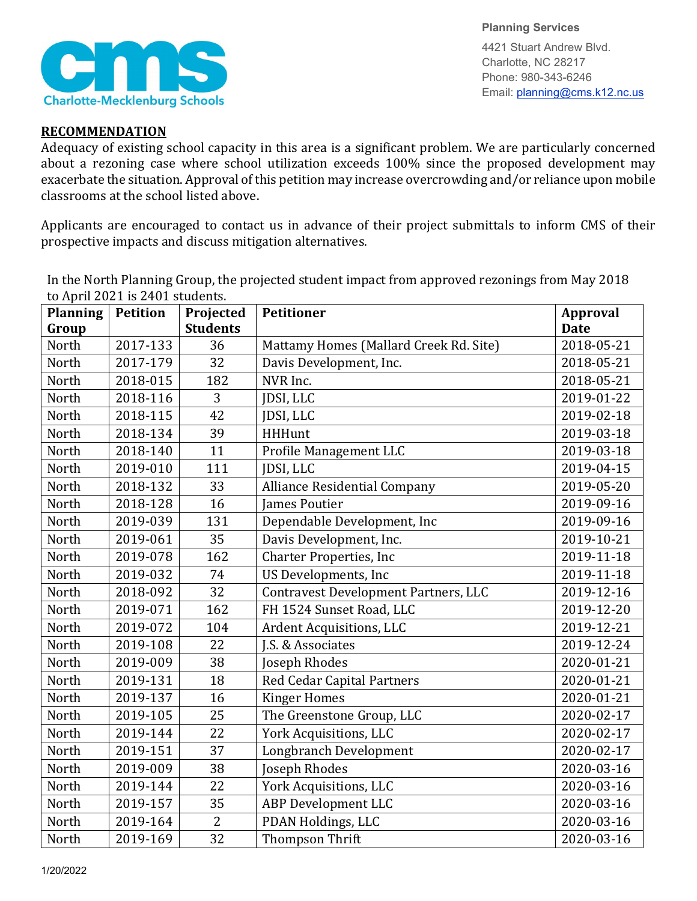

**Planning Services** 4421 Stuart Andrew Blvd. Charlotte, NC 28217 Phone: 980-343-6246 Email: planning@cms.k12.nc.us

## **RECOMMENDATION**

Adequacy of existing school capacity in this area is a significant problem. We are particularly concerned about a rezoning case where school utilization exceeds 100% since the proposed development may exacerbate the situation. Approval of this petition may increase overcrowding and/or reliance upon mobile classrooms at the school listed above.

Applicants are encouraged to contact us in advance of their project submittals to inform CMS of their prospective impacts and discuss mitigation alternatives.

| <b>Planning</b> | <b>Petition</b> | Projected       | <b>Petitioner</b>                           | Approval    |
|-----------------|-----------------|-----------------|---------------------------------------------|-------------|
| Group           |                 | <b>Students</b> |                                             | <b>Date</b> |
| North           | 2017-133        | 36              | Mattamy Homes (Mallard Creek Rd. Site)      | 2018-05-21  |
| North           | 2017-179        | 32              | Davis Development, Inc.                     | 2018-05-21  |
| North           | 2018-015        | 182             | NVR Inc.                                    | 2018-05-21  |
| North           | 2018-116        | 3               | JDSI, LLC                                   | 2019-01-22  |
| North           | 2018-115        | 42              | JDSI, LLC                                   | 2019-02-18  |
| North           | 2018-134        | 39              | <b>HHHunt</b>                               | 2019-03-18  |
| North           | 2018-140        | 11              | Profile Management LLC                      | 2019-03-18  |
| North           | 2019-010        | 111             | JDSI, LLC                                   | 2019-04-15  |
| North           | 2018-132        | 33              | <b>Alliance Residential Company</b>         | 2019-05-20  |
| North           | 2018-128        | 16              | <b>James Poutier</b>                        | 2019-09-16  |
| North           | 2019-039        | 131             | Dependable Development, Inc                 | 2019-09-16  |
| North           | 2019-061        | 35              | Davis Development, Inc.                     | 2019-10-21  |
| North           | 2019-078        | 162             | <b>Charter Properties, Inc</b>              | 2019-11-18  |
| North           | 2019-032        | 74              | US Developments, Inc                        | 2019-11-18  |
| North           | 2018-092        | 32              | <b>Contravest Development Partners, LLC</b> | 2019-12-16  |
| North           | 2019-071        | 162             | FH 1524 Sunset Road, LLC                    | 2019-12-20  |
| North           | 2019-072        | 104             | Ardent Acquisitions, LLC                    | 2019-12-21  |
| North           | 2019-108        | 22              | J.S. & Associates                           | 2019-12-24  |
| North           | 2019-009        | 38              | Joseph Rhodes                               | 2020-01-21  |
| North           | 2019-131        | 18              | Red Cedar Capital Partners                  | 2020-01-21  |
| North           | 2019-137        | 16              | <b>Kinger Homes</b>                         | 2020-01-21  |
| North           | 2019-105        | 25              | The Greenstone Group, LLC                   | 2020-02-17  |
| North           | 2019-144        | 22              | York Acquisitions, LLC                      | 2020-02-17  |
| North           | 2019-151        | 37              | <b>Longbranch Development</b>               | 2020-02-17  |
| North           | 2019-009        | 38              | Joseph Rhodes                               | 2020-03-16  |
| North           | 2019-144        | 22              | York Acquisitions, LLC                      | 2020-03-16  |
| North           | 2019-157        | 35              | <b>ABP</b> Development LLC                  | 2020-03-16  |
| North           | 2019-164        | 2               | PDAN Holdings, LLC                          | 2020-03-16  |
| North           | 2019-169        | 32              | <b>Thompson Thrift</b>                      | 2020-03-16  |

In the North Planning Group, the projected student impact from approved rezonings from May 2018 to April 2021 is 2401 students.